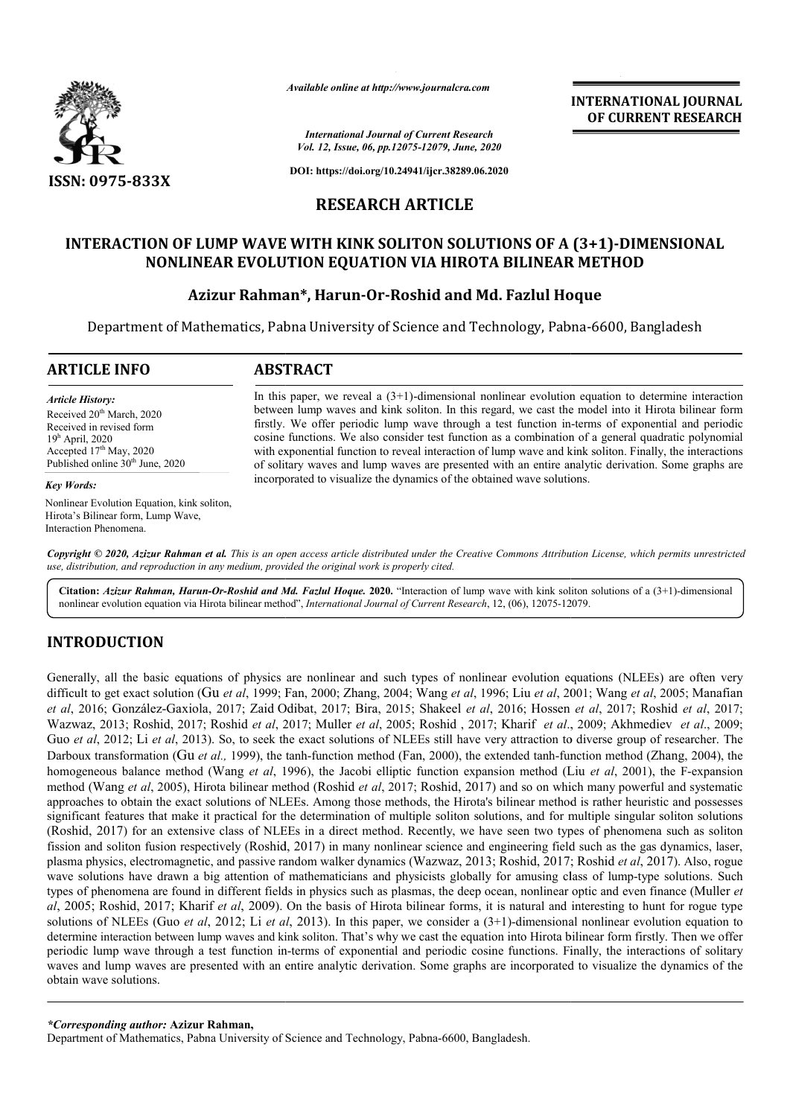

*Available online at http://www.journalcra.com*

*International Journal of Current Research Vol. 12, Issue, 06, pp.12075-12079, June, 2020* **INTERNATIONAL JOURNAL OF CURRENT RESEARCH**

**DOI: https://doi.org/10.24941/ijcr.38289.06.2020**

### **RESEARCH ARTICLE**

## INTERACTION OF LUMP WAVE WITH KINK SOLITON SOLUTIONS OF A (3+1)-DIMENSIONAL **NONLINEAR EVOLUTION EQUATION VIA HIROTA BILINEAR METHOD**

# **Azizur Rahman Rahman\*, Harun-Or-Roshid and Md. Fazlul Hoque Roshid Hoque**

Department of Mathematics, Pabna University of Science and Technology, Pabna-6600, Bangladesh

| <b>ARTICLE INFO</b>                                                                                                                                                                            | <b>ABSTRACT</b>                                                                                                                                                                                                                                                                                                                                                                                                                                                                                                                                                                                                                                                                                                      |
|------------------------------------------------------------------------------------------------------------------------------------------------------------------------------------------------|----------------------------------------------------------------------------------------------------------------------------------------------------------------------------------------------------------------------------------------------------------------------------------------------------------------------------------------------------------------------------------------------------------------------------------------------------------------------------------------------------------------------------------------------------------------------------------------------------------------------------------------------------------------------------------------------------------------------|
| <b>Article History:</b><br>Received 20 <sup>th</sup> March, 2020<br>Received in revised form<br>$19h$ April, 2020<br>Accepted $17th$ May, 2020<br>Published online 30 <sup>th</sup> June, 2020 | In this paper, we reveal a $(3+1)$ -dimensional nonlinear evolution equation to determine interaction<br>between lump waves and kink soliton. In this regard, we cast the model into it Hirota bilinear form<br>firstly. We offer periodic lump wave through a test function in-terms of exponential and periodic<br>cosine functions. We also consider test function as a combination of a general quadratic polynomial<br>with exponential function to reveal interaction of lump wave and kink soliton. Finally, the interactions<br>of solitary waves and lump waves are presented with an entire analytic derivation. Some graphs are<br>incorporated to visualize the dynamics of the obtained wave solutions. |
| <b>Key Words:</b>                                                                                                                                                                              |                                                                                                                                                                                                                                                                                                                                                                                                                                                                                                                                                                                                                                                                                                                      |
| Nonlinear Evolution Equation, kink soliton,<br>Hirota's Bilinear form, Lump Wave,<br>Interaction Phenomena.                                                                                    |                                                                                                                                                                                                                                                                                                                                                                                                                                                                                                                                                                                                                                                                                                                      |

Copyright © 2020, Azizur Rahman et al. This is an open access article distributed under the Creative Commons Attribution License, which permits unrestrictea *use, distribution, and reproduction in any medium, provided the original work is properly cited.*

Citation: Azizur Rahman, Harun-Or-Roshid and Md. Fazlul Hoque. 2020. "Interaction of lump wave with kink soliton solutions of a (3+1)-dimensional nonlinear evolution equation via Hirota bilinear method", *International Journal of Current Research*, 12, (06), 12075-12079.

## **INTRODUCTION**

Generally, all the basic equations of physics are nonlinear and such types of nonlinear evolution equations (NLEEs) are often very difficult to get exact solution (Gu et al, 1999; Fan, 2000; Zhang, 2004; Wang et al, 1996; Liu et al, 2001; Wang et al, 2005; Manafian *et al*, 2016; González-Gaxiola, 2017; Zaid Odibat Odibat, 2017; Bira, 2015; Shakeel *et al*, 2016; Hossen Hossen *et al*, 2017; Roshid *et al*, 2017; Wazwaz, 2013; Roshid, 2017; Roshid *et al*, 2017; Muller *et al*, 2005; Roshid, 2017; Kharif *et al.*, 2009; Akhmediev *et al.*, 2009; Guo *et al*, 2012; Li *et al*, 2013). So, to seek the exact solutions of NLEEs still have very attraction to diverse group of researcher. The Guo *et al*, 2012; Li *et al*, 2013). So, to seek the exact solutions of NLEEs still have very attraction to diverse group of researcher. The<br>Darboux transformation (Gu *et al.*, 1999), the tanh-function method (Fan, 2000) homogeneous balance method (Wang *et al*, 1996), the Jacobi elliptic function expansion method (Liu *et al*, 2001), the F-expansion method (Wang *et al*, 2005), Hirota bilinear method ( (Roshid *et al*, 2017; Roshid, 2017) and so on which many powerful and systematic method (Wang *et al*, 2005), Hirota bilinear method (Roshid *et al*, 2017; Roshid, 2017) and so on which many powerful and systematic<br>approaches to obtain the exact solutions of NLEEs. Among those methods, the Hirota's bil significant features that make it practical for the determination of multiple soliton solutions, and for multiple singular soliton solutions (Roshid, 2017) for an extensive class of NLEEs in a direct method. Recently, we have seen two types of phenomena such as soliton (Roshid, 2017) for an extensive class of NLEEs in a direct method. Recently, we have seen two types of phenomena such as soliton<br>fission and soliton fusion respectively (Roshid, 2017) in many nonlinear science and engineer fission and soliton fusion respectively (Roshid, 2017) in many nonlinear science and engineering field such as the gas dynamics, laser,<br>plasma physics, electromagnetic, and passive random walker dynamics (Wazwaz, 2013; Ros wave solutions have drawn a big attention of mathematicians and physicists globally for amusing class of lump-type solutions. Such types of phenomena are found in different fields in physics such as plasmas, the deep ocean, nonlinear optic and even finance (Muller *et al*, 2005; Roshid, 2017; Kharif *et al*, 2009). On the basis of Hirota bilinear forms, it is natural and interesting to hunt for rogue type al, 2005; Roshid, 2017; Kharif et al, 2009). On the basis of Hirota bilinear forms, it is natural and interesting to hunt for rogue type<br>solutions of NLEEs (Guo et al, 2012; Li et al, 2013). In this paper, we consider a (3 determine interaction between lump waves and kink soliton. That's why we cast the equation into Hirota bilinear form firstly. Then we offer periodic lump wave through a test function in-terms of exponential and periodic cosine functions. Finally, the interactions of solitary waves and lump waves are presented with an entire analytic derivation. Some graphs are incorporated to visualize the dynamics obtain wave solutions.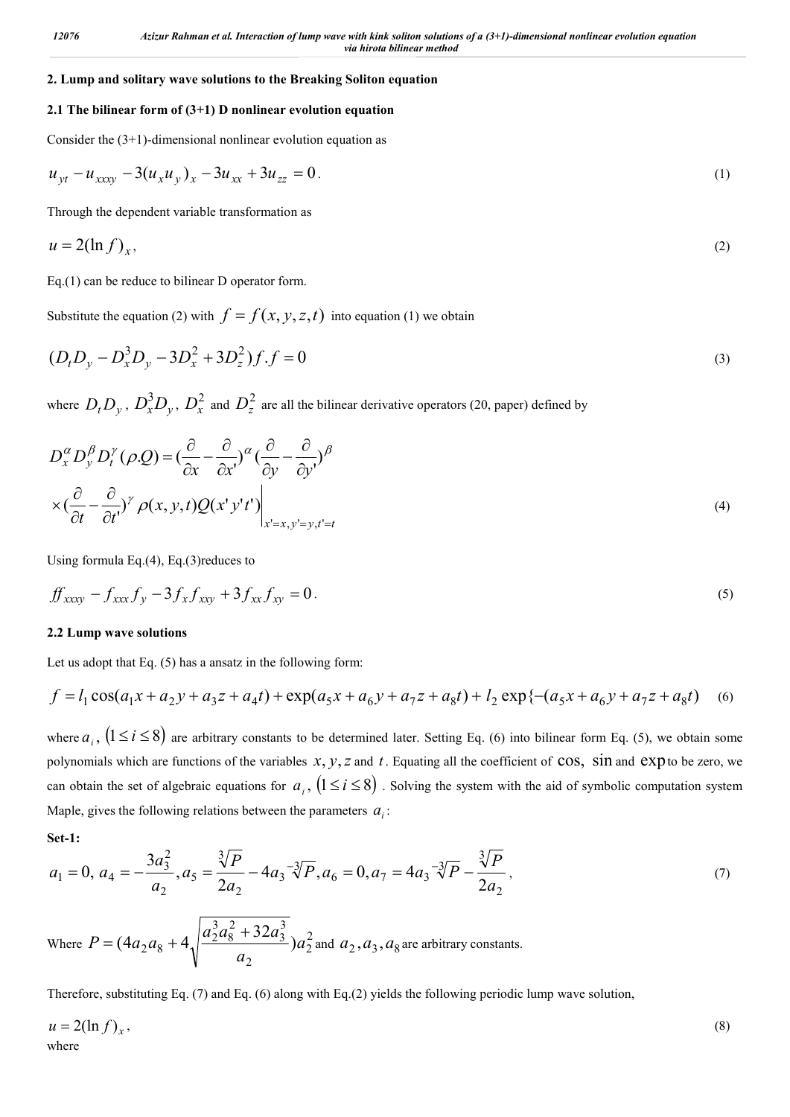### **2. Lump and solitary wave solutions to the Breaking Soliton equation**

### **2.1 The bilinear form of (3+1) D nonlinear evolution equation**

Consider the  $(3+1)$ -dimensional nonlinear evolution equation as

$$
u_{yt} - u_{xxxy} - 3(u_x u_y)_x - 3u_{xx} + 3u_{zz} = 0.
$$
 (1)

Through the dependent variable transformation as

$$
u = 2(\ln f)_x,\tag{2}
$$

Eq.(1) can be reduce to bilinear D operator form.

Substitute the equation (2) with  $f = f(x, y, z, t)$  into equation (1) we obtain

$$
(D_t D_y - D_x^3 D_y - 3D_x^2 + 3D_z^2)f.f = 0
$$
\n(3)

where  $D_t D_y$ ,  $D_x^3 D_y$ ,  $D_x^2$  and  $D_z^2$  are all the bilinear derivative operators (20, paper) defined by

$$
D_x^{\alpha} D_y^{\beta} D_t^{\gamma} (\rho Q) = \left(\frac{\partial}{\partial x} - \frac{\partial}{\partial x^{\prime}}\right)^{\alpha} \left(\frac{\partial}{\partial y} - \frac{\partial}{\partial y^{\prime}}\right)^{\beta}
$$
  
 
$$
\times \left(\frac{\partial}{\partial t} - \frac{\partial}{\partial t^{\prime}}\right)^{\gamma} \rho(x, y, t) Q(x^{\prime} y^{\prime} t^{\prime}) \Big|_{x^{\prime}=x, y^{\prime}=y, t^{\prime}=t}
$$
 (4)

Using formula Eq.(4), Eq.(3)reduces to

$$
f(x_{xxy} - f_{xxx}f_y - 3f_xf_{xy} + 3f_{xx}f_{xy} = 0.
$$
 (5)

#### **2.2 Lump wave solutions**

Let us adopt that Eq. (5) has a ansatz in the following form:

$$
f = l_1 \cos(a_1 x + a_2 y + a_3 z + a_4 t) + \exp(a_5 x + a_6 y + a_7 z + a_8 t) + l_2 \exp\left\{-(a_5 x + a_6 y + a_7 z + a_8 t)\right\}
$$
 (6)

where  $a_i$ ,  $(1 \le i \le 8)$  are arbitrary constants to be determined later. Setting Eq. (6) into bilinear form Eq. (5), we obtain some polynomials which are functions of the variables  $x, y, z$  and  $t$ . Equating all the coefficient of  $\cos$ ,  $\sin$  and  $\exp$  to be zero, we can obtain the set of algebraic equations for  $a_i$ ,  $(1 \le i \le 8)$ . Solving the system with the aid of symbolic computation system Maple, gives the following relations between the parameters  $a_i$ :

**Set-1:**

$$
a_1 = 0, \ a_4 = -\frac{3a_3^2}{a_2}, a_5 = \frac{\sqrt[3]{P}}{2a_2} - 4a_3^{-1}\sqrt{P}, a_6 = 0, a_7 = 4a_3^{-1}\sqrt{P} - \frac{\sqrt[3]{P}}{2a_2},
$$
\n<sup>(7)</sup>

Where  $P = (4a_2a_8 + 4\sqrt{\frac{a_2a_8 + 32a_3}{a}})a_2^2$ 2 3 3 2 8 3  $(4a_2a_8 + 4\sqrt{\frac{a_2^3a_8^2 + 32a_3^3}{a_2}})a$  $P = (4a_2a_8 + 4\sqrt{\frac{a_2^3a_8^2 + 32a_3^3}{a_2^2}})a_2^2$  and  $a_2, a_3, a_8$  are arbitrary constants.

Therefore, substituting Eq. (7) and Eq. (6) along with Eq.(2) yields the following periodic lump wave solution,

$$
u = 2(\ln f)_x,\tag{8}
$$
where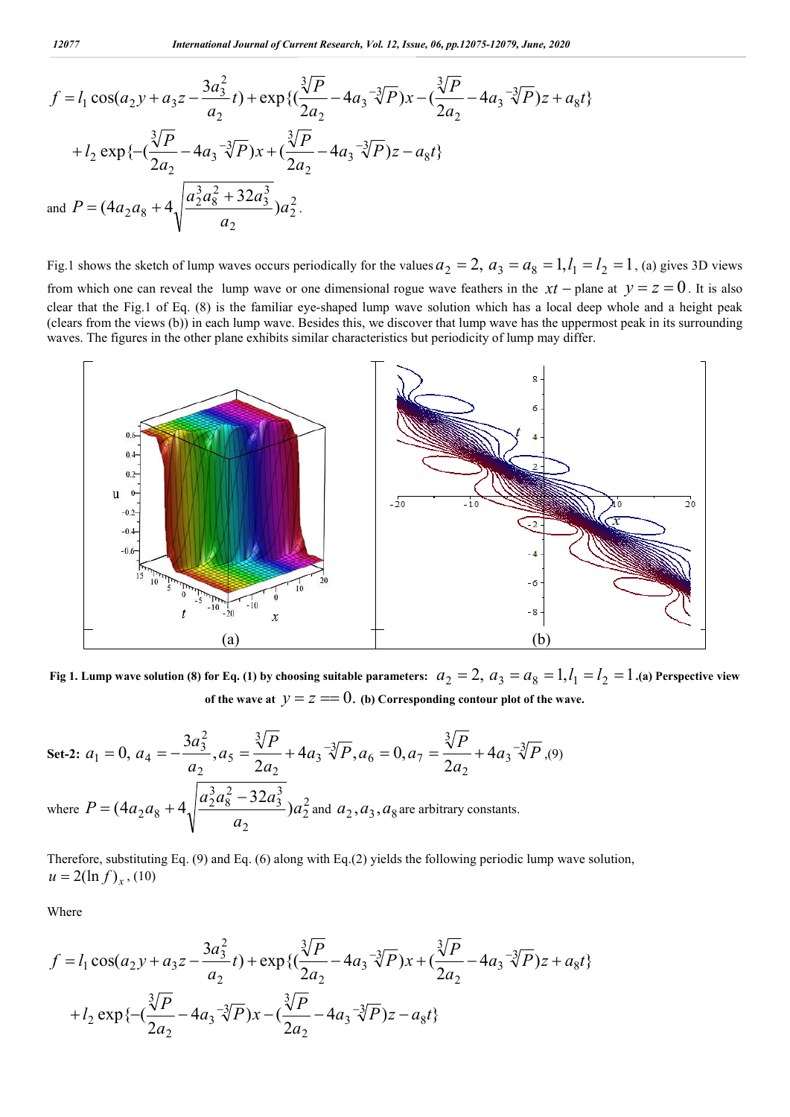$$
f = l_1 \cos(a_2 y + a_3 z - \frac{3a_3^2}{a_2}t) + \exp\left\{(\frac{\sqrt[3]{P}}{2a_2} - 4a_3 - \sqrt[3]{P}\right)x - (\frac{\sqrt[3]{P}}{2a_2} - 4a_3 - \sqrt[3]{P})z + a_8t\right\}
$$
  
+  $l_2 \exp\left\{-(\frac{\sqrt[3]{P}}{2a_2} - 4a_3 - \sqrt[3]{P}\right)x + (\frac{\sqrt[3]{P}}{2a_2} - 4a_3 - \sqrt[3]{P})z - a_8t\right\}$   
and  $P = (4a_2 a_8 + 4\sqrt{\frac{a_2^3 a_8^2 + 32a_3^3}{a_2}})a_2^2$ .

Fig.1 shows the sketch of lump waves occurs periodically for the values  $a_2 = 2$ ,  $a_3 = a_8 = 1$ ,  $l_1 = l_2 = 1$ , (a) gives 3D views from which one can reveal the lump wave or one dimensional rogue wave feathers in the  $xt$  – plane at  $y = z = 0$ . It is also clear that the Fig.1 of Eq. (8) is the familiar eye-shaped lump wave solution which has a local deep whole and a height peak (clears from the views (b)) in each lump wave. Besides this, we discover that lump wave has the uppermost peak in its surrounding waves. The figures in the other plane exhibits similar characteristics but periodicity of lump may differ.



Fig 1. Lump wave solution (8) for Eq. (1) by choosing suitable parameters:  $a_2=2, a_3=a_8=1, l_1=l_2=1.$  (a) Perspective view **of the wave at**  $y = z == 0$ . (b) Corresponding contour plot of the wave.

Set-2: 
$$
a_1 = 0
$$
,  $a_4 = -\frac{3a_3^2}{a_2}$ ,  $a_5 = \frac{\sqrt[3]{P}}{2a_2} + 4a_3 - \sqrt[3]{P}$ ,  $a_6 = 0$ ,  $a_7 = \frac{\sqrt[3]{P}}{2a_2} + 4a_3 - \sqrt[3]{P}$ , (9)  
where  $P = (4a_2a_8 + 4\sqrt{\frac{a_2^3a_8^2 - 32a_3^3}{a_2}})a_2^2$  and  $a_2, a_3, a_8$  are arbitrary constants.

Therefore, substituting Eq. (9) and Eq. (6) along with Eq.(2) yields the following periodic lump wave solution,  $u = 2(\ln f)_x$ , (10)

Where

$$
f = l_1 \cos(a_2 y + a_3 z - \frac{3a_3^2}{a_2}t) + \exp\left\{(\frac{\sqrt[3]{P}}{2a_2} - 4a_3^{-\sqrt[3]{P}})x + (\frac{\sqrt[3]{P}}{2a_2} - 4a_3^{-\sqrt[3]{P}})z + a_8t\right\}
$$
  
+  $l_2 \exp\left\{-(\frac{\sqrt[3]{P}}{2a_2} - 4a_3^{-\sqrt[3]{P}})x - (\frac{\sqrt[3]{P}}{2a_2} - 4a_3^{-\sqrt[3]{P}})z - a_8t\right\}$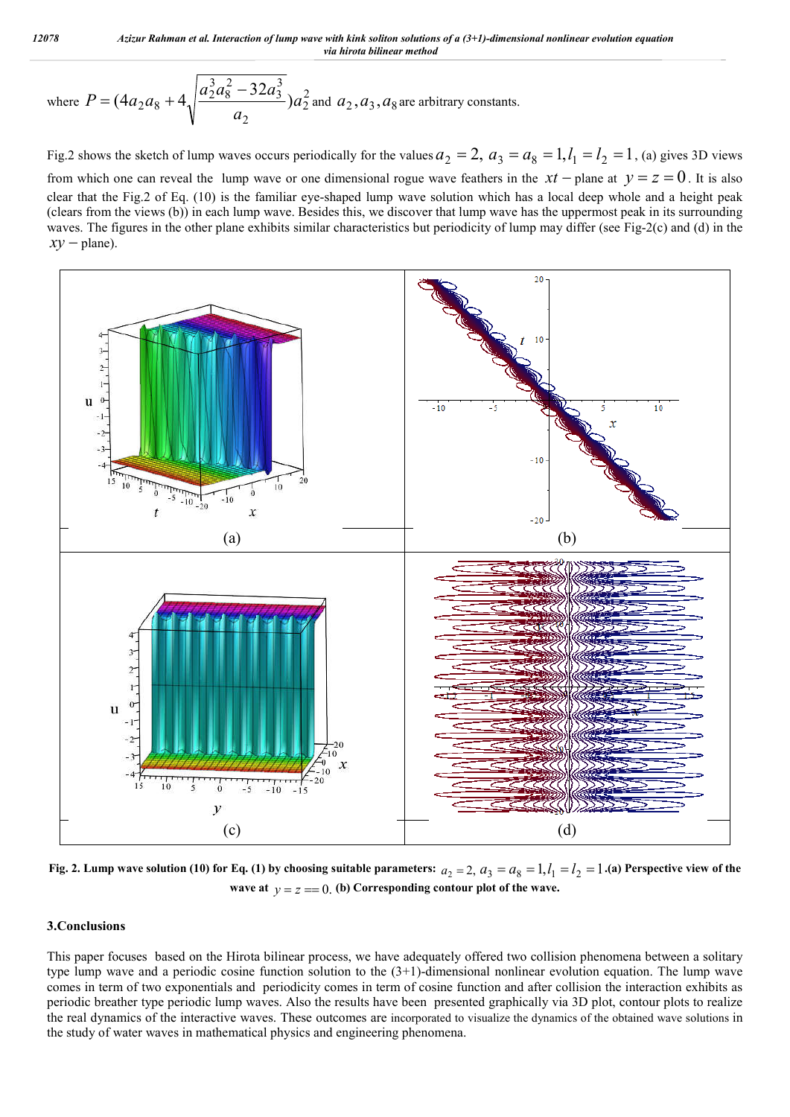where 
$$
P = (4a_2a_8 + 4\sqrt{\frac{a_2^3a_8^2 - 32a_3^3}{a_2}})a_2^2
$$
 and  $a_2, a_3, a_8$  are arbitrary constants.

Fig.2 shows the sketch of lump waves occurs periodically for the values  $a_2 = 2$ ,  $a_3 = a_8 = 1$ ,  $l_1 = l_2 = 1$ , (a) gives 3D views from which one can reveal the lump wave or one dimensional rogue wave feathers in the  $xt$  – plane at  $y = z = 0$ . It is also clear that the Fig.2 of Eq. (10) is the familiar eye-shaped lump wave solution which has a local deep whole and a height peak (clears from the views (b)) in each lump wave. Besides this, we discover that lump wave has the uppermost peak in its surrounding waves. The figures in the other plane exhibits similar characteristics but periodicity of lump may differ (see Fig-2(c) and (d) in the  $xv$  – plane).



Fig. 2. Lump wave solution (10) for Eq. (1) by choosing suitable parameters:  $a_2 = 2$ ,  $a_3 = a_8 = 1$ ,  $l_1 = l_2 = 1$ .(a) Perspective view of the **wave at**  $y = z = 0$ . (b) Corresponding contour plot of the wave.

#### **3.Conclusions**

This paper focuses based on the Hirota bilinear process, we have adequately offered two collision phenomena between a solitary type lump wave and a periodic cosine function solution to the  $(3+1)$ -dimensional nonlinear evolution equation. The lump wave comes in term of two exponentials and periodicity comes in term of cosine function and after collision the interaction exhibits as periodic breather type periodic lump waves. Also the results have been presented graphically via 3D plot, contour plots to realize the real dynamics of the interactive waves. These outcomes are incorporated to visualize the dynamics of the obtained wave solutions in the study of water waves in mathematical physics and engineering phenomena.